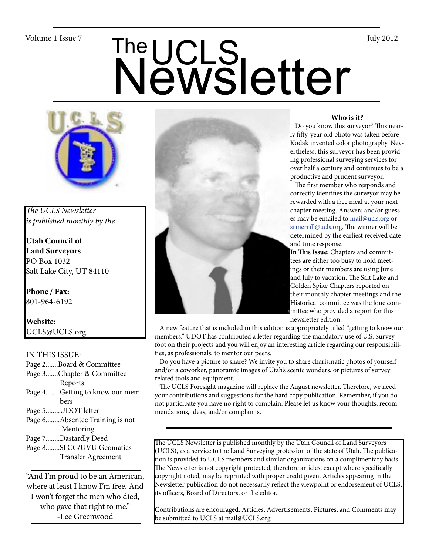# Volume 1 Issue 7<br>
Newsletter



*The UCLS Newsletter is published monthly by the*

**Utah Council of Land Surveyors** PO Box 1032 Salt Lake City, UT 84110

**Phone / Fax:**  801-964-6192

**Website:** UCLS@UCLS.org

### IN THIS ISSUE:

- Page 2.......Board & Committee
- Page 3.......Chapter & Committee Reports
- Page 4........Getting to know our mem bers
- Page 5........UDOT letter
- Page 6........Absentee Training is not Mentoring
- Page 7........Dastardly Deed
- Page 8........SLCC/UVU Geomatics Transfer Agreement

"And I'm proud to be an American, where at least I know I'm free. And I won't forget the men who died, who gave that right to me." -Lee Greenwood



### **Who is it?**

 Do you know this surveyor? This nearly fifty-year old photo was taken before Kodak invented color photography. Nevertheless, this surveyor has been providing professional surveying services for over half a century and continues to be a productive and prudent surveyor.

 The first member who responds and correctly identifies the surveyor may be rewarded with a free meal at your next chapter meeting. Answers and/or guesses may be emailed to mail@ucls.org or srmerrill@ucls.org. The winner will be determined by the earliest received date and time response.

**In This Issue:** Chapters and committees are either too busy to hold meetings or their members are using June and July to vacation. The Salt Lake and Golden Spike Chapters reported on their monthly chapter meetings and the Historical committee was the lone committee who provided a report for this newsletter edition.

 A new feature that is included in this edition is appropriately titled "getting to know our members." UDOT has contributed a letter regarding the mandatory use of U.S. Survey foot on their projects and you will enjoy an interesting article regarding our responsibilities, as professionals, to mentor our peers.

 Do you have a picture to share? We invite you to share charismatic photos of yourself and/or a coworker, panoramic images of Utah's scenic wonders, or pictures of survey related tools and equipment.

 The UCLS Foresight magazine will replace the August newsletter. Therefore, we need your contributions and suggestions for the hard copy publication. Remember, if you do not participate you have no right to complain. Please let us know your thoughts, recommendations, ideas, and/or complaints.

The UCLS Newsletter is published monthly by the Utah Council of Land Surveyors (UCLS), as a service to the Land Surveying profession of the state of Utah. The publication is provided to UCLS members and similar organizations on a complimentary basis. The Newsletter is not copyright protected, therefore articles, except where specifically copyright noted, may be reprinted with proper credit given. Articles appearing in the Newsletter publication do not necessarily reflect the viewpoint or endorsement of UCLS, its officers, Board of Directors, or the editor.

Contributions are encouraged. Articles, Advertisements, Pictures, and Comments may be submitted to UCLS at mail@UCLS.org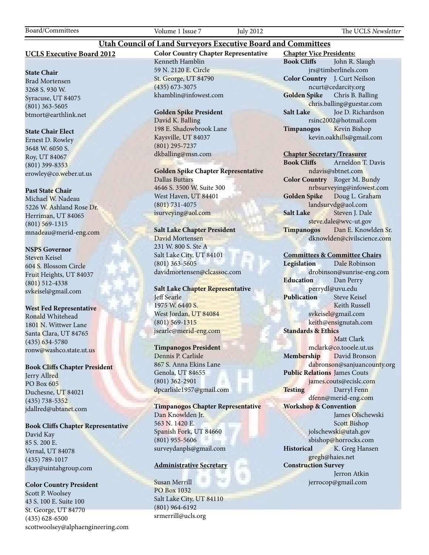Board/Committees Volume 1 Issue 7 July 2012 The UCLS *Newsletter*

### **UCLS Executive Board 2012**

### **State Chair**

Brad Mortensen 3268 S. 930 W. Syracuse, UT 84075 (801) 363-5605 btmort@earthlink.net

### **State Chair Elect**

Ernest D. Rowley 3648 W. 6050 S. Roy, UT 84067 (801) 399-8353 erowley@co.weber.ut.us

### **Past State Chair**

Michael W. Nadeau 5226 W. Ashland Rose Dr. Herriman, UT 84065 (801) 569-1315 mnadeau@merid-eng.com

### **NSPS Governor**

Steven Keisel 604 S. Blossom Circle Fruit Heights, UT 84037 (801) 512-4338 svkeisel@gmail.com

### **West Fed Representative**

Ronald Whitehead 1801 N. Wittwer Lane Santa Clara, UT 84765 (435) 634-5780 ronw@washco.state.ut.us

### **Book Cliffs Chapter President**

Jerry Allred PO Box 605 Duchesne, UT 84021 (435) 738-5352 jdallred@ubtanet.com

### **Book Cliffs Chapter Representative**

David Kay 85 S. 200 E. Vernal, UT 84078 (435) 789-1017 dkay@uintahgroup.com

### **Color Country President**

Scott P. Woolsey 43 S. 100 E. Suite 100 St. George, UT 84770 (435) 628-6500 scottwoolsey@alphaengineering.com **Color Country Chapter Representative** Kenneth Hamblin 59 N. 2120 E. Circle St. George, UT 84790 (435) 673-3075 khamblin@infowest.com

**Utah Council of Land Surveyors Executive Board and Committees**

### **Golden Spike President**

David K. Balling 198 E. Shadowbrook Lane Kaysville, UT 84037 (801) 295-7237 dkballing@msn.com

**Golden Spike Chapter Representative** Dallas Buttars 4646 S. 3500 W. Suite 300 West Haven, UT 84401

(801) 731-4075 isurveying@aol.com

### **Salt Lake Chapter President**

David Mortensen 231 W. 800 S. Ste A Salt Lake City, UT 84101 (801) 363-5605 davidmortensen@clcassoc.com

### **Salt Lake Chapter Representative** Jeff Searle 1975 W. 6440 S. West Jordan, UT 84084 (801) 569-1315 jsearle@merid-eng.com

### **Timpanogos President**

Dennis P. Carlisle 867 S. Anna Ekins Lane Genola, UT 84655 (801) 362-2901 dpcarlisle1957@gmail.com

**Timpanogos Chapter Representative** Dan Knowlden Jr. 563 N. 1420 E. Spanish Fork, UT 84660 (801) 955-5606 surveydanpls@gmail.com

### **Administrative Secretary**

Susan Merrill PO Box 1032 Salt Lake City, UT 84110 (801) 964-6192 srmerrill@ucls.org

**Chapter Vice Presidents: Book Cliffs** John R. Slaugh jrs@timberlinels.com **Color Country** J. Curt Neilson ncurt@cedarcity.org **Golden Spike** Chris B. Balling chris.balling@guestar.com **Salt Lake** Joe D. Richardson rsinc2002@hotmail.com **Timpanogos** Kevin Bishop kevin.oakhills@gmail.com

### **Chapter Secretary/Treasurer**

**Book Cliffs** Arneldon T. Davis ndavis@sbtnet.com **Color Country** Roger M. Bundy nrbsurveying@infowest.com **Golden Spike** Doug L. Graham landsurvdg@aol.com **Salt Lake** Steven J. Dale steve.dale@wvc-ut.gov **Timpanogos** Dan E. Knowlden Sr. dknowlden@civilscience.com

### **Committees & Committee Chairs**

**Legislation** Dale Robinson drobinson@sunrise-eng.com **Education** Dan Perry perrydl@uvu.edu **Publication** Steve Keisel Keith Russell svkeisel@gmail.com keith@ensignutah.com **Standards & Ethics** Matt Clark mclark@co.tooele.ut.us **Membership** David Bronson dabronson@sanjuancounty.org **Public Relations** James Couts james.couts@ecislc.com **Testing** Darryl Fenn dfenn@merid-eng.com **Workshop & Convention** James Olschewski Scott Bishop jolschewski@utah.gov sbishop@horrocks.com **Historical** K. Greg Hansen gregh@haies.net **Construction Survey** Jerron Atkin jerrocop@gmail.com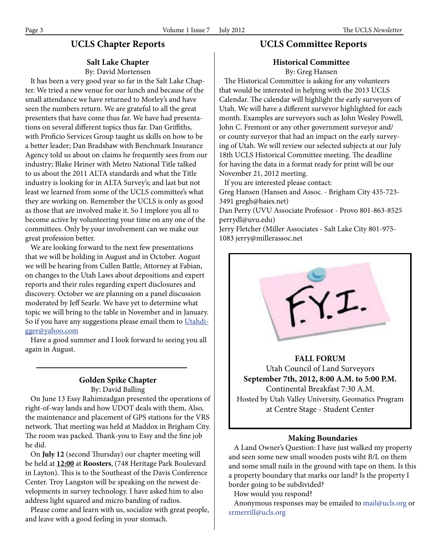# **UCLS Chapter Reports**

### **Salt Lake Chapter**

By: David Mortensen

 It has been a very good year so far in the Salt Lake Chapter. We tried a new venue for our lunch and because of the small attendance we have returned to Morley's and have seen the numbers return. We are grateful to all the great presenters that have come thus far. We have had presentations on several different topics thus far. Dan Griffiths, with Proficio Services Group taught us skills on how to be a better leader; Dan Bradshaw with Benchmark Insurance Agency told us about on claims he frequently sees from our industry; Blake Heiner with Metro National Title talked to us about the 2011 ALTA standards and what the Title industry is looking for in ALTA Survey's; and last but not least we learned from some of the UCLS committee's what they are working on. Remember the UCLS is only as good as those that are involved make it. So I implore you all to become active by volunteering your time on any one of the committees. Only by your involvement can we make our great profession better.

 We are looking forward to the next few presentations that we will be holding in August and in October. August we will be hearing from Cullen Battle, Attorney at Fabian, on changes to the Utah Laws about depositions and expert reports and their rules regarding expert disclosures and discovery. October we are planning on a panel discussion moderated by Jeff Searle. We have yet to determine what topic we will bring to the table in November and in January. So if you have any suggestions please email them to Utahdigger@yahoo.com

 Have a good summer and I look forward to seeing you all again in August.

### **Golden Spike Chapter** By: David Balling

 On June 13 Essy Rahimzadgan presented the operations of right-of-way lands and how UDOT deals with them, Also, the maintenance and placement of GPS stations for the VRS network. That meeting was held at Maddox in Brigham City. The room was packed. Thank-you to Essy and the fine job he did.

 On **July 12** (second Thursday) our chapter meeting will be held at **12:00** at **Roosters**, (748 Heritage Park Boulevard in Layton). This is to the Southeast of the Davis Conference Center. Troy Langston will be speaking on the newest developments in survey technology. I have asked him to also address light squared and micro banding of radios.

 Please come and learn with us, socialize with great people, and leave with a good feeling in your stomach.

# **UCLS Committee Reports**

### **Historical Committee** By: Greg Hansen

 The Historical Committee is asking for any volunteers that would be interested in helping with the 2013 UCLS Calendar. The calendar will highlight the early surveyors of Utah. We will have a different surveyor highlighted for each month. Examples are surveyors such as John Wesley Powell, John C. Fremont or any other government surveyor and/ or county surveyor that had an impact on the early surveying of Utah. We will review our selected subjects at our July 18th UCLS Historical Committee meeting. The deadline for having the data in a format ready for print will be our November 21, 2012 meeting.

If you are interested please contact:

Greg Hansen (Hansen and Assoc. - Brigham City 435-723- 3491 gregh@haies.net)

Dan Perry (UVU Associate Professor - Provo 801-863-8525 perrydl@uvu.edu)

Jerry Fletcher (Miller Associates - Salt Lake City 801-975- 1083 jerry@millerassoc.net



# **FALL FORUM**

Utah Council of Land Surveyors **September 7th, 2012, 8:00 A.M. to 5:00 P.M.** Continental Breakfast 7:30 A.M. Hosted by Utah Valley University, Geomatics Program at Centre Stage - Student Center

### **Making Boundaries**

 A Land Owner's Question: I have just walked my property and seen some new small wooden posts wiht B/L on them and some small nails in the ground with tape on them. Is this a property boundary that marks our land? Is the property I border going to be subdivided?

How would you respond?

 Anonymous responses may be emailed to mail@ucls.org or srmerrill@ucls.org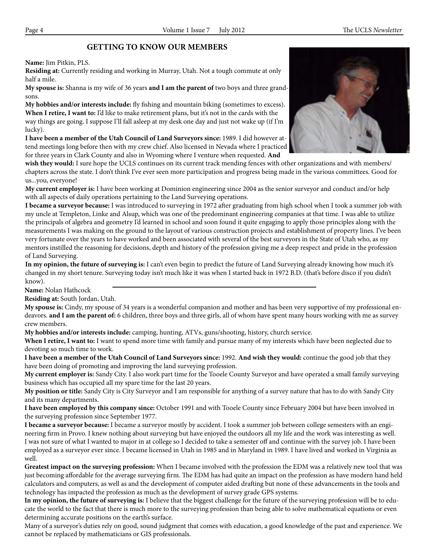# **GETTING TO KNOW OUR MEMBERS**

**Name:** Jim Pitkin, PLS.

**Residing at:** Currently residing and working in Murray, Utah. Not a tough commute at only half a mile.

**My spouse is:** Shanna is my wife of 36 years **and I am the parent of** two boys and three grandsons.

**My hobbies and/or interests include:** fly fishing and mountain biking (sometimes to excess). **When I retire, I want to:** I'd like to make retirement plans, but it's not in the cards with the way things are going. I suppose I'll fall asleep at my desk one day and just not wake up (if I'm lucky).

**I have been a member of the Utah Council of Land Surveyors since:** 1989. I did however attend meetings long before then with my crew chief. Also licensed in Nevada where I practiced for three years in Clark County and also in Wyoming where I venture when requested. **And** 

**wish they would:** I sure hope the UCLS continues on its current track mending fences with other organizations and with members/ chapters across the state. I don't think I've ever seen more participation and progress being made in the various committees. Good for us...you, everyone!

**My current employer is:** I have been working at Dominion engineering since 2004 as the senior surveyor and conduct and/or help with all aspects of daily operations pertaining to the Land Surveying operations.

**I became a surveyor because:** I was introduced to surveying in 1972 after graduating from high school when I took a summer job with my uncle at Templeton, Linke and Alsup, which was one of the predominant engineering companies at that time. I was able to utilize the principals of algebra and geometry I'd learned in school and soon found it quite engaging to apply those principles along with the measurements I was making on the ground to the layout of various construction projects and establishment of property lines. I've been very fortunate over the years to have worked and been associated with several of the best surveyors in the State of Utah who, as my mentors instilled the reasoning for decisions, depth and history of the profession giving me a deep respect and pride in the profession of Land Surveying.

**In my opinion, the future of surveying is:** I can't even begin to predict the future of Land Surveying already knowing how much it's changed in my short tenure. Surveying today isn't much like it was when I started back in 1972 B.D. (that's before disco if you didn't know).

**Name:** Nolan Hathcock

**Residing at:** South Jordan, Utah.

**My spouse is:** Cindy, my spouse of 34 years is a wonderful companion and mother and has been very supportive of my professional endeavors. **and I am the parent of:** 6 children, three boys and three girls, all of whom have spent many hours working with me as survey crew members.

**My hobbies and/or interests include:** camping, hunting, ATVs, guns/shooting, history, church service.

**When I retire, I want to:** I want to spend more time with family and pursue many of my interests which have been neglected due to devoting so much time to work.

**I have been a member of the Utah Council of Land Surveyors since:** 1992. **And wish they would:** continue the good job that they have been doing of promoting and improving the land surveying profession.

**My current employer is:** Sandy City. I also work part time for the Tooele County Surveyor and have operated a small family surveying business which has occupied all my spare time for the last 20 years.

**My position or title:** Sandy City is City Surveyor and I am responsible for anything of a survey nature that has to do with Sandy City and its many departments.

**I have been employed by this company since:** October 1991 and with Tooele County since February 2004 but have been involved in the surveying profession since September 1977.

**I became a surveyor because:** I became a surveyor mostly by accident. I took a summer job between college semesters with an engineering firm in Provo. I knew nothing about surveying but have enjoyed the outdoors all my life and the work was interesting as well. I was not sure of what I wanted to major in at college so I decided to take a semester off and continue with the survey job. I have been employed as a surveyor ever since. I became licensed in Utah in 1985 and in Maryland in 1989. I have lived and worked in Virginia as well.

**Greatest impact on the surveying profession:** When I became involved with the profession the EDM was a relatively new tool that was just becoming affordable for the average surveying firm. The EDM has had quite an impact on the profession as have modern hand held calculators and computers, as well as and the development of computer aided drafting but none of these advancements in the tools and technology has impacted the profession as much as the development of survey grade GPS systems.

**In my opinion, the future of surveying is:** I believe that the biggest challenge for the future of the surveying profession will be to educate the world to the fact that there is much more to the surveying profession than being able to solve mathematical equations or even determining accurate positions on the earth's surface.

Many of a surveyor's duties rely on good, sound judgment that comes with education, a good knowledge of the past and experience. We cannot be replaced by mathematicians or GIS professionals.

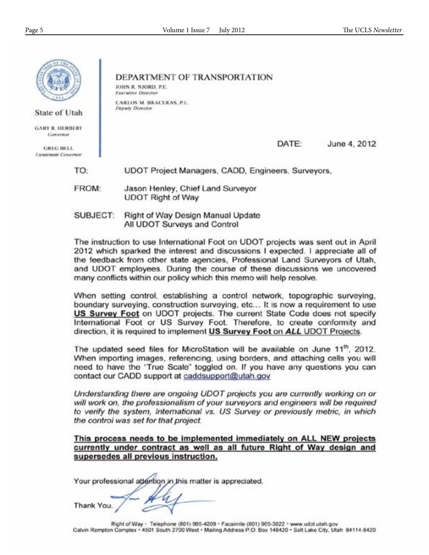

FROM: Jason Henley, Chief Land Surveyor **UDOT Right of Way** 

SUBJECT: Right of Way Design Manual Update All UDOT Surveys and Control

The instruction to use International Foot on UDOT projects was sent out in April 2012 which sparked the interest and discussions I expected. I appreciate all of the feedback from other state agencies, Professional Land Surveyors of Utah, and UDOT employees. During the course of these discussions we uncovered many conflicts within our policy which this memo will help resolve.

When setting control, establishing a control network, topographic surveying, boundary surveying, construction surveying, etc... It is now a requirement to use US Survey Foot on UDOT projects. The current State Code does not specify International Foot or US Survey Foot. Therefore, to create conformity and direction, it is required to implement US Survey Foot on ALL UDOT Projects.

The updated seed files for MicroStation will be available on June 11<sup>th</sup>, 2012. When importing images, referencing, using borders, and attaching cells you will need to have the "True Scale" toggled on. If you have any questions you can contact our CADD support at caddsupport@utah.gov

Understanding there are ongoing UDOT projects you are currently working on or will work on, the professionalism of your surveyors and engineers will be required to verify the system, International vs. US Survey or previously metric, in which the control was set for that project.

This process needs to be implemented immediately on ALL NEW projects currently under contract as well as all future Right of Way design and supersedes all previous instruction.

Your professional attention in this matter is appreciated.

**Thank You** 

Right of Way · Telephone (801) 965-4209 · Facsimile (801) 965-3822 · www.udot.utah.gov Calvin Rampton Complex - 4501 South 2700 West - Mailing Address P.O. Box 148420 - Salt Lake City, Utah 84114-8420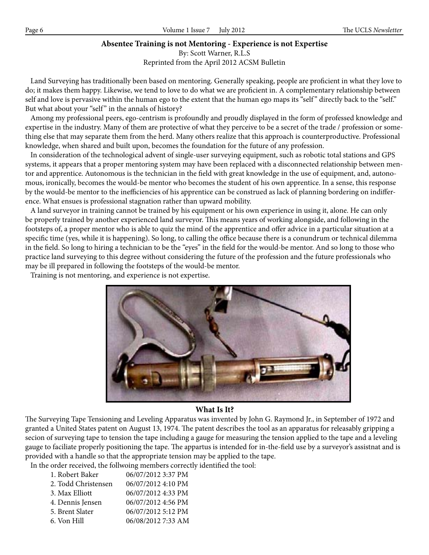# **Absentee Training is not Mentoring - Experience is not Expertise**

By: Scott Warner, R.L.S

Reprinted from the April 2012 ACSM Bulletin

 Land Surveying has traditionally been based on mentoring. Generally speaking, people are proficient in what they love to do; it makes them happy. Likewise, we tend to love to do what we are proficient in. A complementary relationship between self and love is pervasive within the human ego to the extent that the human ego maps its "self" directly back to the "self." But what about your "self" in the annals of history?

 Among my professional peers, ego-centrism is profoundly and proudly displayed in the form of professed knowledge and expertise in the industry. Many of them are protective of what they perceive to be a secret of the trade / profession or something else that may separate them from the herd. Many others realize that this approach is counterproductive. Professional knowledge, when shared and built upon, becomes the foundation for the future of any profession.

 In consideration of the technological advent of single-user surveying equipment, such as robotic total stations and GPS systems, it appears that a proper mentoring system may have been replaced with a disconnected relationship between mentor and apprentice. Autonomous is the technician in the field with great knowledge in the use of equipment, and, autonomous, ironically, becomes the would-be mentor who becomes the student of his own apprentice. In a sense, this response by the would-be mentor to the inefficiencies of his apprentice can be construed as lack of planning bordering on indifference. What ensues is professional stagnation rather than upward mobility.

 A land surveyor in training cannot be trained by his equipment or his own experience in using it, alone. He can only be properly trained by another experienced land surveyor. This means years of working alongside, and following in the footsteps of, a proper mentor who is able to quiz the mind of the apprentice and offer advice in a particular situation at a specific time (yes, while it is happening). So long, to calling the office because there is a conundrum or technical dilemma in the field. So long to hiring a technician to be the "eyes" in the field for the would-be mentor. And so long to those who practice land surveying to this degree without considering the future of the profession and the future professionals who may be ill prepared in following the footsteps of the would-be mentor.

Training is not mentoring, and experience is not expertise.



## **What Is It?**

The Surveying Tape Tensioning and Leveling Apparatus was invented by John G. Raymond Jr., in September of 1972 and granted a United States patent on August 13, 1974. The patent describes the tool as an apparatus for releasably gripping a secion of surveying tape to tension the tape including a gauge for measuring the tension applied to the tape and a leveling gauge to faciliate properly positioning the tape. The appartus is intended for in-the-field use by a surveyor's assistnat and is provided with a handle so that the appropriate tension may be applied to the tape.

In the order received, the follwoing members correctly identified the tool:

| 06/07/2012 3:37 PM |
|--------------------|
| 06/07/2012 4:10 PM |
| 06/07/2012 4:33 PM |
| 06/07/2012 4:56 PM |
| 06/07/2012 5:12 PM |
| 06/08/2012 7:33 AM |
|                    |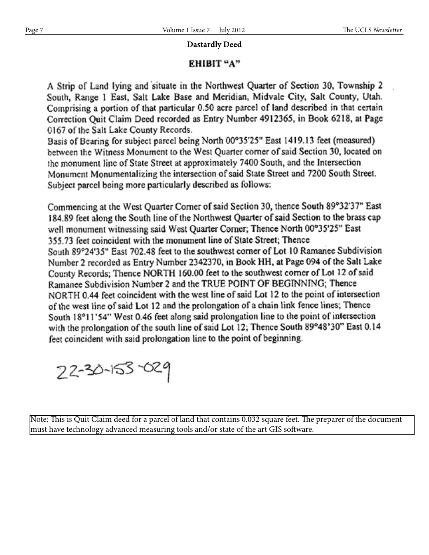# **Dastardly Deed**

# EHIBIT "A"

A Strip of Land lying and situate in the Northwest Quarter of Section 30, Township 2 South, Range 1 East, Salt Lake Base and Meridian, Midvale City, Salt County, Utah. Comprising a portion of that particular 0.50 acre parcel of land described in that certain Correction Quit Claim Deed recorded as Entry Number 4912365, in Book 6218, at Page 0167 of the Salt Lake County Records.

Basis of Bearing for subject parcel being North 00°35'25" East 1419.13 feet (measured) between the Witness Monument to the West Quarter corner of said Section 30, located on the monument line of State Street at approximately 7400 South, and the Intersection Monument Monumentalizing the intersection of said State Street and 7200 South Street. Subject parcel being more particularly described as follows:

Commencing at the West Quarter Corner of said Section 30, thence South 89°32'37" East 184.89 feet along the South line of the Northwest Quarter of said Section to the brass cap well monument witnessing said West Quarter Corner; Thence North 00°35'25" East 355.73 feet coincident with the monument line of State Street; Thence South 89°24'35" East 702.48 feet to the southwest corner of Lot 10 Ramanee Subdivision Number 2 recorded as Entry Number 2342370, in Book HH, at Page 094 of the Salt Lake County Records; Thence NORTH 160.00 feet to the southwest corner of Lot 12 of said Ramanee Subdivision Number 2 and the TRUE POINT OF BEGINNING; Thence NORTH 0.44 feet coincident with the west line of said Lot 12 to the point of intersection of the west line of said Lot 12 and the prolongation of a chain link fence lines; Thence South 18°11'54" West 0.46 feet along said prolongation line to the point of intersection with the prolongation of the south line of said Lot 12; Thence South 89°48'30" East 0.14 feet coincident with said prolongation line to the point of beginning.

22-30-153-029

Note: This is Quit Claim deed for a parcel of land that contains 0.032 square feet. The preparer of the document must have technology advanced measuring tools and/or state of the art GIS software.